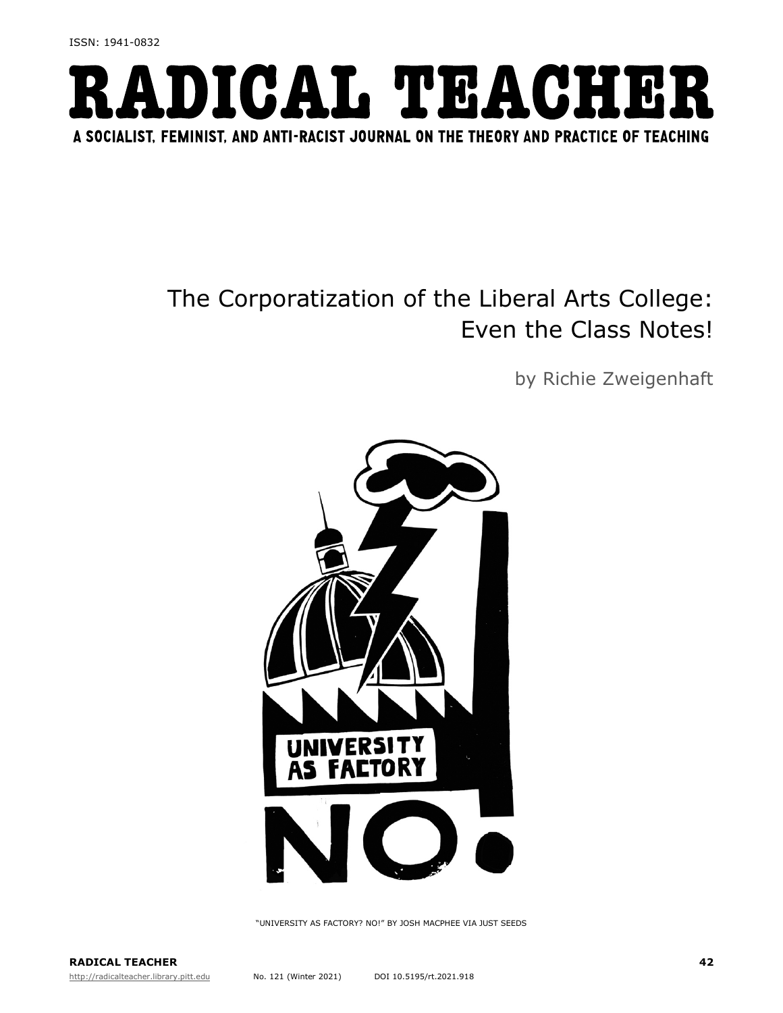

## The Corporatization of the Liberal Arts College: Even the Class Notes!

by Richie Zweigenhaft



"UNIVERSITY AS FACTORY? NO!" BY JOSH MACPHEE VIA JUST SEEDS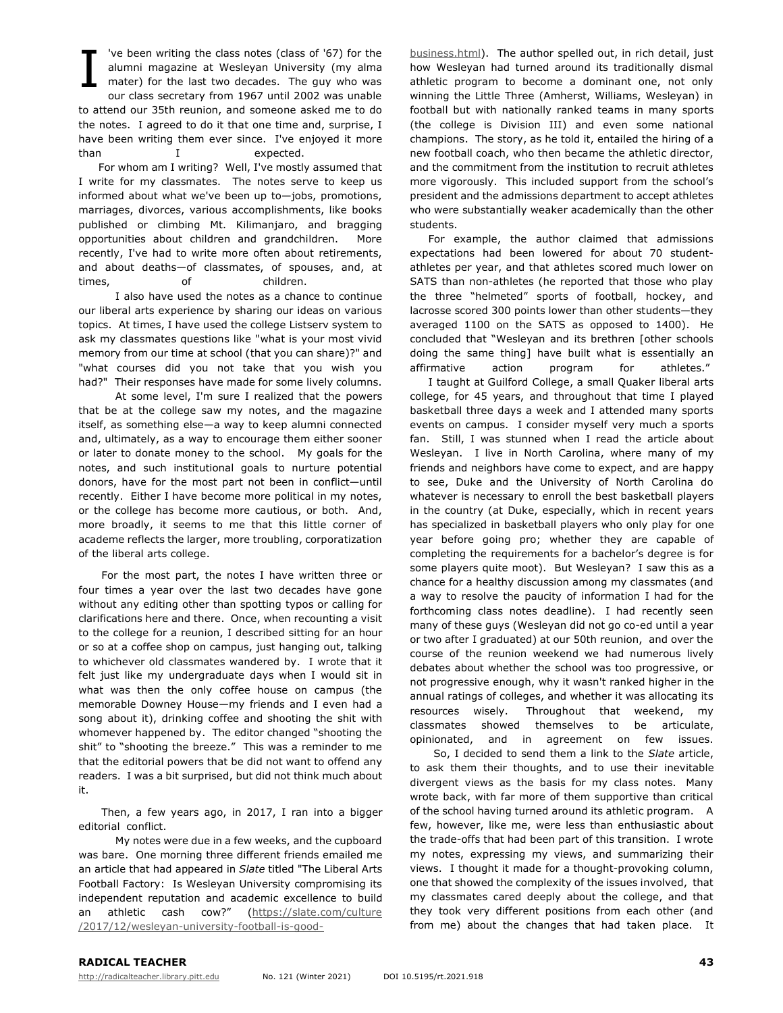've been writing the class notes (class of '67) for the alumni magazine at Wesleyan University (my alma mater) for the last two decades. The guy who was our class secretary from 1967 until 2002 was unable to attend our 35th reunion, and someone asked me to do the notes. I agreed to do it that one time and, surprise, I have been writing them ever since. I've enjoyed it more than I expected. I

For whom am I writing? Well, I've mostly assumed that I write for my classmates. The notes serve to keep us informed about what we've been up to—jobs, promotions, marriages, divorces, various accomplishments, like books published or climbing Mt. Kilimanjaro, and bragging opportunities about children and grandchildren. More recently, I've had to write more often about retirements, and about deaths—of classmates, of spouses, and, at times, of children.

I also have used the notes as a chance to continue our liberal arts experience by sharing our ideas on various topics. At times, I have used the college Listserv system to ask my classmates questions like "what is your most vivid memory from our time at school (that you can share)?" and "what courses did you not take that you wish you had?" Their responses have made for some lively columns.

At some level, I'm sure I realized that the powers that be at the college saw my notes, and the magazine itself, as something else—a way to keep alumni connected and, ultimately, as a way to encourage them either sooner or later to donate money to the school. My goals for the notes, and such institutional goals to nurture potential donors, have for the most part not been in conflict—until recently. Either I have become more political in my notes, or the college has become more cautious, or both. And, more broadly, it seems to me that this little corner of academe reflects the larger, more troubling, corporatization of the liberal arts college.

For the most part, the notes I have written three or four times a year over the last two decades have gone without any editing other than spotting typos or calling for clarifications here and there. Once, when recounting a visit to the college for a reunion, I described sitting for an hour or so at a coffee shop on campus, just hanging out, talking to whichever old classmates wandered by. I wrote that it felt just like my undergraduate days when I would sit in what was then the only coffee house on campus (the memorable Downey House—my friends and I even had a song about it), drinking coffee and shooting the shit with whomever happened by. The editor changed "shooting the shit" to "shooting the breeze." This was a reminder to me that the editorial powers that be did not want to offend any readers. I was a bit surprised, but did not think much about it.

Then, a few years ago, in 2017, I ran into a bigger editorial conflict.

My notes were due in a few weeks, and the cupboard was bare. One morning three different friends emailed me an article that had appeared in *Slate* titled "The Liberal Arts Football Factory: Is Wesleyan University compromising its independent reputation and academic excellence to build an athletic cash cow?" (https://slate.com/culture /2017/12/wesleyan-university-football-is-goodbusiness.html). The author spelled out, in rich detail, just how Wesleyan had turned around its traditionally dismal athletic program to become a dominant one, not only winning the Little Three (Amherst, Williams, Wesleyan) in football but with nationally ranked teams in many sports (the college is Division III) and even some national champions. The story, as he told it, entailed the hiring of a new football coach, who then became the athletic director, and the commitment from the institution to recruit athletes more vigorously. This included support from the school's president and the admissions department to accept athletes who were substantially weaker academically than the other students.

For example, the author claimed that admissions expectations had been lowered for about 70 studentathletes per year, and that athletes scored much lower on SATS than non-athletes (he reported that those who play the three "helmeted" sports of football, hockey, and lacrosse scored 300 points lower than other students—they averaged 1100 on the SATS as opposed to 1400). He concluded that "Wesleyan and its brethren [other schools doing the same thing] have built what is essentially an affirmative action program for athletes."

I taught at Guilford College, a small Quaker liberal arts college, for 45 years, and throughout that time I played basketball three days a week and I attended many sports events on campus. I consider myself very much a sports fan. Still, I was stunned when I read the article about Wesleyan. I live in North Carolina, where many of my friends and neighbors have come to expect, and are happy to see, Duke and the University of North Carolina do whatever is necessary to enroll the best basketball players in the country (at Duke, especially, which in recent years has specialized in basketball players who only play for one year before going pro; whether they are capable of completing the requirements for a bachelor's degree is for some players quite moot). But Wesleyan? I saw this as a chance for a healthy discussion among my classmates (and a way to resolve the paucity of information I had for the forthcoming class notes deadline). I had recently seen many of these guys (Wesleyan did not go co-ed until a year or two after I graduated) at our 50th reunion, and over the course of the reunion weekend we had numerous lively debates about whether the school was too progressive, or not progressive enough, why it wasn't ranked higher in the annual ratings of colleges, and whether it was allocating its resources wisely. Throughout that weekend, my classmates showed themselves to be articulate, opinionated, and in agreement on few issues.

So, I decided to send them a link to the *Slate* article, to ask them their thoughts, and to use their inevitable divergent views as the basis for my class notes. Many wrote back, with far more of them supportive than critical of the school having turned around its athletic program. A few, however, like me, were less than enthusiastic about the trade-offs that had been part of this transition. I wrote my notes, expressing my views, and summarizing their views. I thought it made for a thought-provoking column, one that showed the complexity of the issues involved, that my classmates cared deeply about the college, and that they took very different positions from each other (and from me) about the changes that had taken place. It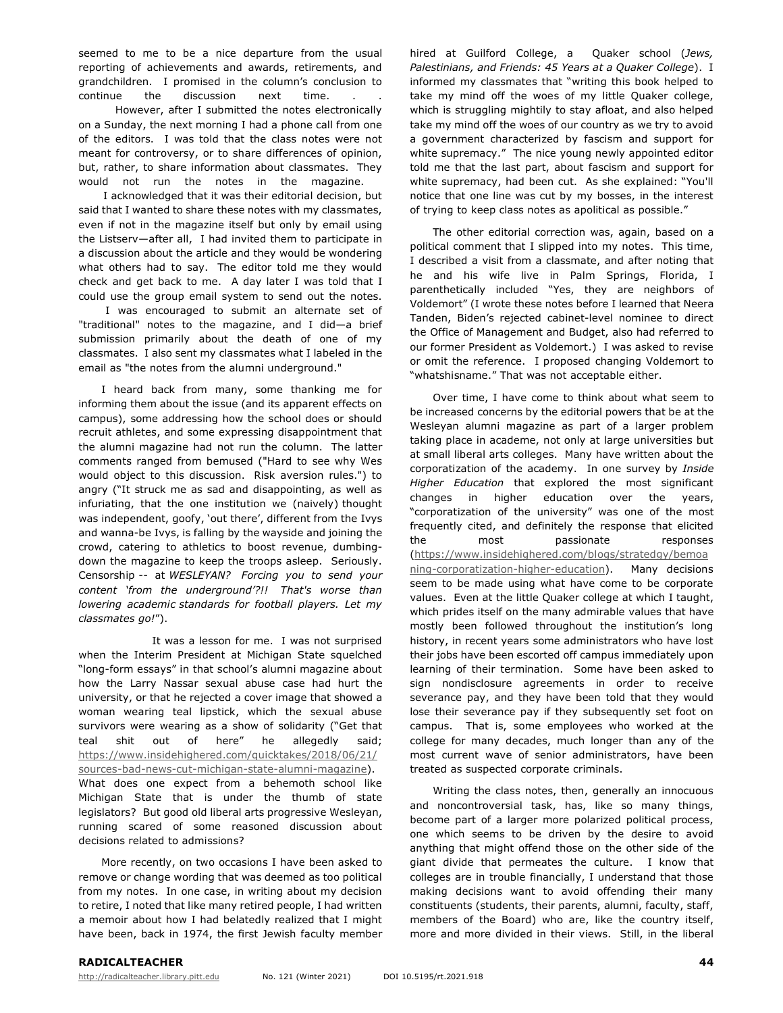seemed to me to be a nice departure from the usual reporting of achievements and awards, retirements, and grandchildren. I promised in the column's conclusion to continue the discussion next time. However, after I submitted the notes electronically on a Sunday, the next morning I had a phone call from one of the editors. I was told that the class notes were not meant for controversy, or to share differences of opinion, but, rather, to share information about classmates. They would not run the notes in the magazine.

I acknowledged that it was their editorial decision, but said that I wanted to share these notes with my classmates, even if not in the magazine itself but only by email using the Listserv—after all, I had invited them to participate in a discussion about the article and they would be wondering what others had to say. The editor told me they would check and get back to me. A day later I was told that I could use the group email system to send out the notes.

I was encouraged to submit an alternate set of "traditional" notes to the magazine, and I did—a brief submission primarily about the death of one of my classmates. I also sent my classmates what I labeled in the email as "the notes from the alumni underground."

I heard back from many, some thanking me for informing them about the issue (and its apparent effects on campus), some addressing how the school does or should recruit athletes, and some expressing disappointment that the alumni magazine had not run the column. The latter comments ranged from bemused ("Hard to see why Wes would object to this discussion. Risk aversion rules.") to angry ("It struck me as sad and disappointing, as well as infuriating, that the one institution we (naively) thought was independent, goofy, 'out there', different from the Ivys and wanna-be Ivys, is falling by the wayside and joining the crowd, catering to athletics to boost revenue, dumbingdown the magazine to keep the troops asleep. Seriously. Censorship -- at *WESLEYAN? Forcing you to send your content 'from the underground'?!! That's worse than lowering academic standards for football players. Let my classmates go!*").

It was a lesson for me. I was not surprised when the Interim President at Michigan State squelched "long-form essays" in that school's alumni magazine about how the Larry Nassar sexual abuse case had hurt the university, or that he rejected a cover image that showed a woman wearing teal lipstick, which the sexual abuse survivors were wearing as a show of solidarity ("Get that teal shit out of here" he allegedly said; https://www.insidehighered.com/quicktakes/2018/06/21/ sources-bad-news-cut-michigan-state-alumni-magazine). What does one expect from a behemoth school like Michigan State that is under the thumb of state legislators? But good old liberal arts progressive Wesleyan, running scared of some reasoned discussion about decisions related to admissions?

More recently, on two occasions I have been asked to remove or change wording that was deemed as too political from my notes. In one case, in writing about my decision to retire, I noted that like many retired people, I had written a memoir about how I had belatedly realized that I might have been, back in 1974, the first Jewish faculty member hired at Guilford College, a Quaker school (*Jews, Palestinians, and Friends: 45 Years at a Quaker College*). I informed my classmates that "writing this book helped to take my mind off the woes of my little Quaker college, which is struggling mightily to stay afloat, and also helped take my mind off the woes of our country as we try to avoid a government characterized by fascism and support for white supremacy." The nice young newly appointed editor told me that the last part, about fascism and support for white supremacy, had been cut. As she explained: "You'll notice that one line was cut by my bosses, in the interest of trying to keep class notes as apolitical as possible."

The other editorial correction was, again, based on a political comment that I slipped into my notes. This time, I described a visit from a classmate, and after noting that he and his wife live in Palm Springs, Florida, I parenthetically included "Yes, they are neighbors of Voldemort" (I wrote these notes before I learned that Neera Tanden, Biden's rejected cabinet-level nominee to direct the Office of Management and Budget, also had referred to our former President as Voldemort.) I was asked to revise or omit the reference. I proposed changing Voldemort to "whatshisname." That was not acceptable either.

Over time, I have come to think about what seem to be increased concerns by the editorial powers that be at the Wesleyan alumni magazine as part of a larger problem taking place in academe, not only at large universities but at small liberal arts colleges. Many have written about the corporatization of the academy. In one survey by *Inside Higher Education* that explored the most significant changes in higher education over the years, "corporatization of the university" was one of the most frequently cited, and definitely the response that elicited the most passionate responses (https://www.insidehighered.com/blogs/stratedgy/bemoa ning-corporatization-higher-education). Many decisions seem to be made using what have come to be corporate values. Even at the little Quaker college at which I taught, which prides itself on the many admirable values that have mostly been followed throughout the institution's long history, in recent years some administrators who have lost their jobs have been escorted off campus immediately upon learning of their termination. Some have been asked to sign nondisclosure agreements in order to receive severance pay, and they have been told that they would lose their severance pay if they subsequently set foot on campus. That is, some employees who worked at the college for many decades, much longer than any of the most current wave of senior administrators, have been treated as suspected corporate criminals.

Writing the class notes, then, generally an innocuous and noncontroversial task, has, like so many things, become part of a larger more polarized political process, one which seems to be driven by the desire to avoid anything that might offend those on the other side of the giant divide that permeates the culture. I know that colleges are in trouble financially, I understand that those making decisions want to avoid offending their many constituents (students, their parents, alumni, faculty, staff, members of the Board) who are, like the country itself, more and more divided in their views. Still, in the liberal